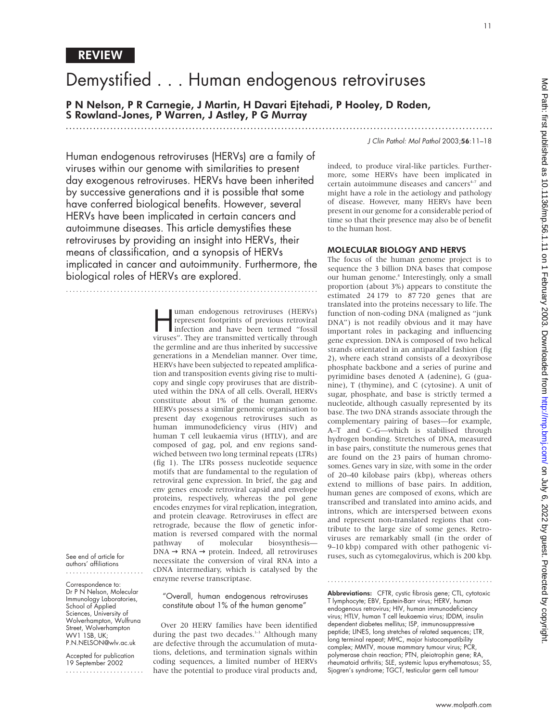# REVIEW

# Demystified... Human endogenous retroviruses

P N Nelson, P R Carnegie, J Martin, H Davari Ejtehadi, P Hooley, D Roden, S Rowland-Jones, P Warren, J Astley, P G Murray

.............................................................................................................................

Human endogenous retroviruses (HERVs) are a family of viruses within our genome with similarities to present day exogenous retroviruses. HERVs have been inherited by successive generations and it is possible that some have conferred biological benefits. However, several HERVs have been implicated in certain cancers and autoimmune diseases. This article demystifies these retroviruses by providing an insight into HERVs, their means of classification, and a synopsis of HERVs implicated in cancer and autoimmunity. Furthermore, the biological roles of HERVs are explored.

> Iman endogenous retroviruses (HERVs)<br>
> represent footprints of previous retroviral<br>
> infection and have been termed "fossil<br>
> viruses" They are transmitted vertically through represent footprints of previous retroviral viruses". They are transmitted vertically through the germline and are thus inherited by successive generations in a Mendelian manner. Over time, HERVs have been subjected to repeated amplification and transposition events giving rise to multicopy and single copy proviruses that are distributed within the DNA of all cells. Overall, HERVs constitute about 1% of the human genome. HERVs possess a similar genomic organisation to present day exogenous retroviruses such as human immunodeficiency virus (HIV) and human T cell leukaemia virus (HTLV), and are composed of gag, pol, and env regions sandwiched between two long terminal repeats (LTRs) (fig 1). The LTRs possess nucleotide sequence motifs that are fundamental to the regulation of retroviral gene expression. In brief, the gag and env genes encode retroviral capsid and envelope proteins, respectively, whereas the pol gene encodes enzymes for viral replication, integration, and protein cleavage. Retroviruses in effect are retrograde, because the flow of genetic information is reversed compared with the normal pathway of molecular biosynthesis—  $DNA \rightarrow RNA \rightarrow protein. Indeed, all retroviruses$ necessitate the conversion of viral RNA into a cDNA intermediary, which is catalysed by the enzyme reverse transcriptase.

See end of article for authors' affiliations .......................

Correspondence to: Dr P N Nelson, Molecular Immunology Laboratories, School of Applied Sciences, University of Wolverhampton, Wulfruna Street, Wolverhampton WV1 1SB, UK; P.N.NELSON@wlv.ac.uk

Accepted for publication 19 September 2002 .......................

"Overall, human endogenous retroviruses constitute about 1% of the human genome"

Over 20 HERV families have been identified during the past two decades.<sup>1-3</sup> Although many are defective through the accumulation of mutations, deletions, and termination signals within coding sequences, a limited number of HERVs have the potential to produce viral products and,

## J Clin Pathol: Mol Pathol 2003;56:11–18

indeed, to produce viral-like particles. Furthermore, some HERVs have been implicated in certain autoimmune diseases and cancers<sup>4-7</sup> and might have a role in the aetiology and pathology of disease. However, many HERVs have been present in our genome for a considerable period of time so that their presence may also be of benefit to the human host.

#### MOLECULAR BIOLOGY AND HERVS

The focus of the human genome project is to sequence the 3 billion DNA bases that compose our human genome.<sup>8</sup> Interestingly, only a small proportion (about 3%) appears to constitute the estimated 24 179 to 87 720 genes that are translated into the proteins necessary to life. The function of non-coding DNA (maligned as "junk DNA") is not readily obvious and it may have important roles in packaging and influencing gene expression. DNA is composed of two helical strands orientated in an antiparallel fashion (fig 2), where each strand consists of a deoxyribose phosphate backbone and a series of purine and pyrimidine bases denoted A (adenine), G (guanine), T (thymine), and C (cytosine). A unit of sugar, phosphate, and base is strictly termed a nucleotide, although casually represented by its base. The two DNA strands associate through the complementary pairing of bases—for example, A–T and C–G—which is stabilised through hydrogen bonding. Stretches of DNA, measured in base pairs, constitute the numerous genes that are found on the 23 pairs of human chromosomes. Genes vary in size, with some in the order of 20–40 kilobase pairs (kbp), whereas others extend to millions of base pairs. In addition, human genes are composed of exons, which are transcribed and translated into amino acids, and introns, which are interspersed between exons and represent non-translated regions that contribute to the large size of some genes. Retroviruses are remarkably small (in the order of 9–10 kbp) compared with other pathogenic viruses, such as cytomegalovirus, which is 200 kbp.

Abbreviations: CFTR, cystic fibrosis gene; CTL, cytotoxic T lymphocyte; EBV, Epstein-Barr virus; HERV, human endogenous retrovirus; HIV, human immunodeficiency virus; HTLV, human T cell leukaemia virus; IDDM, insulin dependent diabetes mellitus; ISP, immunosuppressive peptide; LINES, long stretches of related sequences; LTR, long terminal repeat; MHC, major histocompatibility complex; MMTV, mouse mammary tumour virus; PCR, polymerase chain reaction; PTN, pleiotrophin gene; RA, rheumatoid arthritis; SLE, systemic lupus erythematosus; SS, Sjogren's syndrome; TGCT, testicular germ cell tumour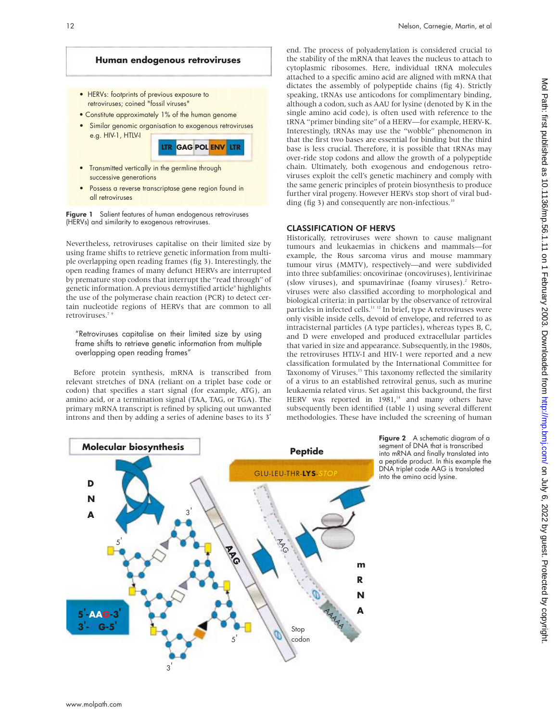

• Possess a reverse transcriptase gene region found in all retroviruses

Figure 1 Salient features of human endogenous retroviruses (HERVs) and similarity to exogenous retroviruses.

Nevertheless, retroviruses capitalise on their limited size by using frame shifts to retrieve genetic information from multiple overlapping open reading frames (fig 3). Interestingly, the open reading frames of many defunct HERVs are interrupted by premature stop codons that interrupt the "read through" of genetic information. A previous demystified article<sup>9</sup> highlights the use of the polymerase chain reaction (PCR) to detect certain nucleotide regions of HERVs that are common to all retroviruses.<sup>7</sup>

"Retroviruses capitalise on their limited size by using frame shifts to retrieve genetic information from multiple overlapping open reading frames"

Before protein synthesis, mRNA is transcribed from relevant stretches of DNA (reliant on a triplet base code or codon) that specifies a start signal (for example, ATG), an amino acid, or a termination signal (TAA, TAG, or TGA). The primary mRNA transcript is refined by splicing out unwanted introns and then by adding a series of adenine bases to its 3′ end. The process of polyadenylation is considered crucial to the stability of the mRNA that leaves the nucleus to attach to cytoplasmic ribosomes. Here, individual tRNA molecules attached to a specific amino acid are aligned with mRNA that dictates the assembly of polypeptide chains (fig 4). Strictly speaking, tRNAs use anticodons for complimentary binding, although a codon, such as AAU for lysine (denoted by K in the single amino acid code), is often used with reference to the tRNA "primer binding site" of a HERV—for example, HERV-K. Interestingly, tRNAs may use the "wobble" phenomenon in that the first two bases are essential for binding but the third base is less crucial. Therefore, it is possible that tRNAs may over-ride stop codons and allow the growth of a polypeptide chain. Ultimately, both exogenous and endogenous retroviruses exploit the cell's genetic machinery and comply with the same generic principles of protein biosynthesis to produce further viral progeny. However HERVs stop short of viral budding (fig 3) and consequently are non-infectious.<sup>10</sup>

# CLASSIFICATION OF HERVS

Historically, retroviruses were shown to cause malignant tumours and leukaemias in chickens and mammals—for example, the Rous sarcoma virus and mouse mammary tumour virus (MMTV), respectively—and were subdivided into three subfamilies: oncovirinae (oncoviruses), lentivirinae (slow viruses), and spumavirinae (foamy viruses).<sup>2</sup> Retroviruses were also classified according to morphological and biological criteria: in particular by the observance of retroviral particles in infected cells.<sup>11 12</sup> In brief, type A retroviruses were only visible inside cells, devoid of envelope, and referred to as intracisternal particles (A type particles), whereas types B, C, and D were enveloped and produced extracellular particles that varied in size and appearance. Subsequently, in the 1980s, the retroviruses HTLV-I and HIV-1 were reported and a new classification formulated by the International Committee for Taxonomy of Viruses.<sup>13</sup> This taxonomy reflected the similarity of a virus to an established retroviral genus, such as murine leukaemia related virus. Set against this background, the first HERV was reported in 1981,<sup>14</sup> and many others have subsequently been identified (table 1) using several different methodologies. These have included the screening of human



Figure 2 A schematic diagram of a segment of DNA that is transcribed into mRNA and finally translated into a peptide product. In this example the DNA triplet code AAG is translated into the amino acid lysine.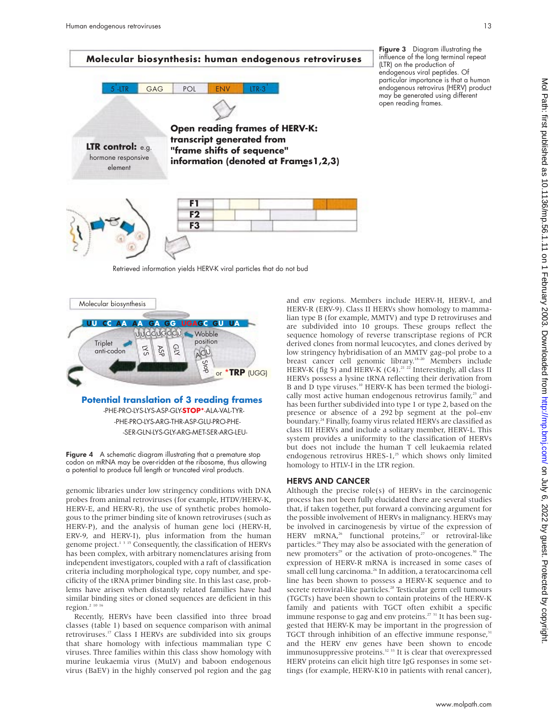**Molecular biosynthesis: human endogenous retroviruses**  5' GAG POL ENV **LTR control:** e.g. hormone responsive element **F1 F2 F3 Open reading frames of HERV-K: transcript generated from "frame shifts of sequence" information (denoted at Frames1,2,3)**

Retrieved information yields HERV-K viral particles that do not bud



Figure 4 A schematic diagram illustrating that a premature stop codon on mRNA may be over-ridden at the ribosome, thus allowing a potential to produce full length or truncated viral products.

genomic libraries under low stringency conditions with DNA probes from animal retroviruses (for example, HTDV/HERV-K, HERV-E, and HERV-R), the use of synthetic probes homologous to the primer binding site of known retroviruses (such as HERV-P), and the analysis of human gene loci (HERV-H, ERV-9, and HERV-I), plus information from the human genome project.1 3 15 Consequently, the classification of HERVs has been complex, with arbitrary nomenclatures arising from independent investigators, coupled with a raft of classification criteria including morphological type, copy number, and specificity of the tRNA primer binding site. In this last case, problems have arisen when distantly related families have had similar binding sites or cloned sequences are deficient in this region.<sup>2 10 16</sup>

Recently, HERVs have been classified into three broad classes (table 1) based on sequence comparison with animal retroviruses.17 Class I HERVs are subdivided into six groups that share homology with infectious mammalian type C viruses. Three families within this class show homology with murine leukaemia virus (MuLV) and baboon endogenous virus (BaEV) in the highly conserved pol region and the gag

and env regions. Members include HERV-H, HERV-I, and HERV-R (ERV-9). Class II HERVs show homology to mammalian type B (for example, MMTV) and type D retroviruses and are subdivided into 10 groups. These groups reflect the sequence homology of reverse transcriptase regions of PCR derived clones from normal leucocytes, and clones derived by low stringency hybridisation of an MMTV gag–pol probe to a breast cancer cell genomic library.18–20 Members include HERV-K (fig 5) and HERV-K (C4).<sup>21 22</sup> Interestingly, all class II HERVs possess a lysine tRNA reflecting their derivation from B and D type viruses.<sup>10</sup> HERV-K has been termed the biologically most active human endogenous retrovirus family,<sup>23</sup> and has been further subdivided into type 1 or type 2, based on the presence or absence of a 292 bp segment at the pol–env boundary.<sup>24</sup> Finally, foamy virus related HERVs are classified as class III HERVs and include a solitary member, HERV-L. This system provides a uniformity to the classification of HERVs but does not include the human T cell leukaemia related endogenous retrovirus HRES-1,<sup>25</sup> which shows only limited homology to HTLV-I in the LTR region.

#### HERVS AND CANCER

Although the precise role(s) of HERVs in the carcinogenic process has not been fully elucidated there are several studies that, if taken together, put forward a convincing argument for the possible involvement of HERVs in malignancy. HERVs may be involved in carcinogenesis by virtue of the expression of HERV mRNA,<sup>26</sup> functional proteins,<sup>27</sup> or retroviral-like particles.<sup>28</sup> They may also be associated with the generation of new promoters<sup>29</sup> or the activation of proto-oncogenes.<sup>30</sup> The expression of HERV-R mRNA is increased in some cases of small cell lung carcinoma.<sup>26</sup> In addition, a teratocarcinoma cell line has been shown to possess a HERV-K sequence and to secrete retroviral-like particles.<sup>28</sup> Testicular germ cell tumours (TGCTs) have been shown to contain proteins of the HERV-K family and patients with TGCT often exhibit a specific immune response to gag and env proteins.<sup>27 31</sup> It has been suggested that HERV-K may be important in the progression of TGCT through inhibition of an effective immune response,<sup>31</sup> and the HERV env genes have been shown to encode immunosuppressive proteins.<sup>32</sup><sup>33</sup> It is clear that overexpressed HERV proteins can elicit high titre IgG responses in some settings (for example, HERV-K10 in patients with renal cancer),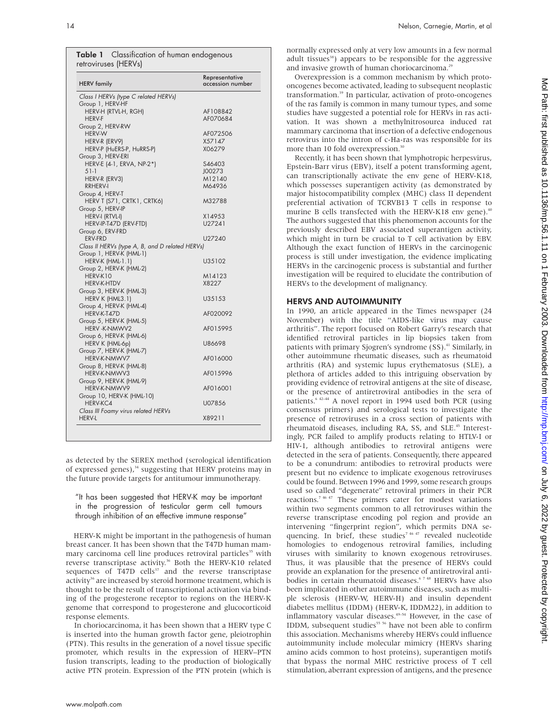Table 1 Classification of human endogenous retroviruses (HERVs)

| <b>HERV</b> family                              | Representative<br>accession number |
|-------------------------------------------------|------------------------------------|
| Class I HERVs (type C related HERVs)            |                                    |
| Group 1, HERV-HF                                |                                    |
| HERV-H (RTVL-H, RGH)                            | AF108842                           |
| <b>HERV-F</b>                                   | AF070684                           |
| Group 2, HERV-RW                                |                                    |
| HERV-W                                          | AF072506                           |
| HERV-R (ERV9)                                   | X57147                             |
| HERV-P (HuERS-P, HuRRS-P)                       | X06279                             |
| Group 3, HERV-ERI                               |                                    |
| HERV-E (4-1, ERVA, NP-2*)                       | S46403                             |
| $51-1$                                          | JO0273                             |
| HERV-R (ERV3)                                   | M12140                             |
| RRHERV-I                                        | M64936                             |
| Group 4, HERV-T                                 |                                    |
| HERV T (S71, CRTK1, CRTK6)                      | M32788                             |
| Group 5, HERV-IP                                |                                    |
| HERV-I (RTVL-I)                                 | X14953                             |
| HERV-IP-T47D (ERV-FTD)                          | U27241                             |
| Group 6, ERV-FRD                                |                                    |
| ERV-FRD                                         | U27240                             |
| Class II HERVs (type A, B, and D related HERVs) |                                    |
| Group 1, HERV-K (HML-1)                         |                                    |
| HERV-K (HML-1.1)                                | U35102                             |
| Group 2, HERV-K (HML-2)                         |                                    |
| HERV-K10                                        | M14123                             |
| <b>HERV-K-HTDV</b>                              | X8227                              |
| Group 3, HERV-K (HML-3)                         |                                    |
| HERV K (HML3.1)                                 | U35153                             |
| Group 4, HERV-K (HML-4)                         |                                    |
| HERV-K-T47D                                     | AF020092                           |
| Group 5, HERV-K (HML-5)                         |                                    |
| <b>HERV-K-NMWV2</b>                             | AF015995                           |
| Group 6, HERV-K (HML-6)                         |                                    |
| HERV K (HML-6p)                                 | U86698                             |
| Group 7, HERV-K (HML-7)                         |                                    |
| HERV-K-NMWV7                                    | AF016000                           |
| Group 8, HERV-K (HML-8)                         |                                    |
| HERV-K-NMWV3                                    | AF015996                           |
| Group 9, HERV-K (HML-9)                         |                                    |
| HERV-K-NMWV9                                    | AF016001                           |
| Group 10, HERV-K (HML-10)                       |                                    |
| HERV-KC4                                        | U07856                             |
| Class III Foamy virus related HERVs             |                                    |
| <b>HERV-L</b>                                   | X89211                             |
|                                                 |                                    |

as detected by the SEREX method (serological identification of expressed genes), $34$  suggesting that HERV proteins may in the future provide targets for antitumour immunotherapy.

"It has been suggested that HERV-K may be important in the progression of testicular germ cell tumours through inhibition of an effective immune response"

HERV-K might be important in the pathogenesis of human breast cancer. It has been shown that the T47D human mammary carcinoma cell line produces retroviral particles<sup>35</sup> with reverse transcriptase activity.<sup>36</sup> Both the HERV-K10 related sequences of T47D cells<sup>37</sup> and the reverse transcriptase activity<sup>36</sup> are increased by steroid hormone treatment, which is thought to be the result of transcriptional activation via binding of the progesterone receptor to regions on the HERV-K genome that correspond to progesterone and glucocorticoid response elements.

In choriocarcinoma, it has been shown that a HERV type C is inserted into the human growth factor gene, pleiotrophin (PTN). This results in the generation of a novel tissue specific promoter, which results in the expression of HERV–PTN fusion transcripts, leading to the production of biologically active PTN protein. Expression of the PTN protein (which is

Overexpression is a common mechanism by which protooncogenes become activated, leading to subsequent neoplastic transformation.<sup>39</sup> In particular, activation of proto-oncogenes of the ras family is common in many tumour types, and some studies have suggested a potential role for HERVs in ras activation. It was shown a methylnitrosourea induced rat mammary carcinoma that insertion of a defective endogenous retrovirus into the intron of c-Ha-ras was responsible for its more than 10 fold overexpression.<sup>30</sup>

Recently, it has been shown that lymphotropic herpesvirus, Epstein-Barr virus (EBV), itself a potent transforming agent, can transcriptionally activate the env gene of HERV-K18, which possesses superantigen activity (as demonstrated by major histocompatibility complex (MHC) class II dependent preferential activation of TCRVB13 T cells in response to murine B cells transfected with the HERV-K18 env gene).<sup>40</sup> The authors suggested that this phenomenon accounts for the previously described EBV associated superantigen activity, which might in turn be crucial to T cell activation by EBV. Although the exact function of HERVs in the carcinogenic process is still under investigation, the evidence implicating HERVs in the carcinogenic process is substantial and further investigation will be required to elucidate the contribution of HERVs to the development of malignancy.

#### HERVS AND AUTOIMMUNITY

In 1990, an article appeared in the Times newspaper (24 November) with the title "AIDS-like virus may cause arthritis". The report focused on Robert Garry's research that identified retroviral particles in lip biopsies taken from patients with primary Sjogren's syndrome (SS).<sup>41</sup> Similarly, in other autoimmune rheumatic diseases, such as rheumatoid arthritis (RA) and systemic lupus erythematosus (SLE), a plethora of articles added to this intriguing observation by providing evidence of retroviral antigens at the site of disease, or the presence of antiretroviral antibodies in the sera of patients.<sup>6 42-44</sup> A novel report in 1994 used both PCR (using consensus primers) and serological tests to investigate the presence of retroviruses in a cross section of patients with rheumatoid diseases, including RA, SS, and SLE.<sup>45</sup> Interestingly, PCR failed to amplify products relating to HTLV-I or HIV-1, although antibodies to retroviral antigens were detected in the sera of patients. Consequently, there appeared to be a conundrum: antibodies to retroviral products were present but no evidence to implicate exogenous retroviruses could be found. Between 1996 and 1999, some research groups used so called "degenerate" retroviral primers in their PCR reactions.<sup>7 46 47</sup> These primers cater for modest variations within two segments common to all retroviruses within the reverse transcriptase encoding pol region and provide an intervening "fingerprint region", which permits DNA sequencing. In brief, these studies<sup>7 46 47</sup> revealed nucleotide homologies to endogenous retroviral families, including viruses with similarity to known exogenous retroviruses. Thus, it was plausible that the presence of HERVs could provide an explanation for the presence of antiretroviral antibodies in certain rheumatoid diseases.<sup>67 48</sup> HERVs have also been implicated in other autoimmune diseases, such as multiple sclerosis (HERV-W, HERV-H) and insulin dependent diabetes mellitus (IDDM) (HERV-K, IDDM22), in addition to inflammatory vascular diseases.<sup>49-54</sup> However, in the case of IDDM, subsequent studies<sup>55 56</sup> have not been able to confirm this association. Mechanisms whereby HERVs could influence autoimmunity include molecular mimicry (HERVs sharing amino acids common to host proteins), superantigen motifs that bypass the normal MHC restrictive process of T cell stimulation, aberrant expression of antigens, and the presence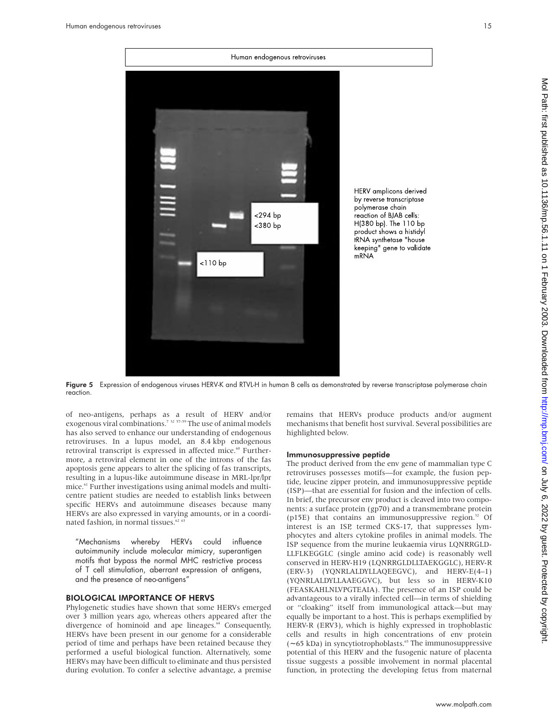

Figure 5 Expression of endogenous viruses HERV-K and RTVL-H in human B cells as demonstrated by reverse transcriptase polymerase chain reaction.

of neo-antigens, perhaps as a result of HERV and/or exogenous viral combinations.7 32 57–59 The use of animal models has also served to enhance our understanding of endogenous retroviruses. In a lupus model, an 8.4 kbp endogenous retroviral transcript is expressed in affected mice.<sup>60</sup> Furthermore, a retroviral element in one of the introns of the fas apoptosis gene appears to alter the splicing of fas transcripts, resulting in a lupus-like autoimmune disease in MRL-lpr/lpr mice.<sup>61</sup> Further investigations using animal models and multicentre patient studies are needed to establish links between specific HERVs and autoimmune diseases because many HERVs are also expressed in varying amounts, or in a coordinated fashion, in normal tissues.<sup>62 6</sup>

"Mechanisms whereby HERVs could influence autoimmunity include molecular mimicry, superantigen motifs that bypass the normal MHC restrictive process of T cell stimulation, aberrant expression of antigens, and the presence of neo-antigens"

# BIOLOGICAL IMPORTANCE OF HERVS

Phylogenetic studies have shown that some HERVs emerged over 3 million years ago, whereas others appeared after the divergence of hominoid and ape lineages.<sup>64</sup> Consequently, HERVs have been present in our genome for a considerable period of time and perhaps have been retained because they performed a useful biological function. Alternatively, some HERVs may have been difficult to eliminate and thus persisted during evolution. To confer a selective advantage, a premise

remains that HERVs produce products and/or augment mechanisms that benefit host survival. Several possibilities are highlighted below.

#### Immunosuppressive peptide

The product derived from the env gene of mammalian type C retroviruses possesses motifs—for example, the fusion peptide, leucine zipper protein, and immunosuppressive peptide (ISP)—that are essential for fusion and the infection of cells. In brief, the precursor env product is cleaved into two components: a surface protein (gp70) and a transmembrane protein (p15E) that contains an immunosuppressive region. $32$  Of interest is an ISP, termed CKS-17, that suppresses lymphocytes and alters cytokine profiles in animal models. The ISP sequence from the murine leukaemia virus LQNRRGLD-LLFLKEGGLC (single amino acid code) is reasonably well conserved in HERV-H19 (LQNRRGLDLLTAEKGGLC), HERV-R (ERV-3) (YQNRLALDYLLAQEEGVC), and HERV-E(4–1) (YQNRLALDYLLAAEGGVC), but less so in HERV-K10 (FEASKAHLNLVPGTEAIA). The presence of an ISP could be advantageous to a virally infected cell—in terms of shielding or "cloaking" itself from immunological attack—but may equally be important to a host. This is perhaps exemplified by HERV-R (ERV3), which is highly expressed in trophoblastic cells and results in high concentrations of env protein (∼ 65 kDa) in syncytiotrophoblasts.65 The immunosuppressive potential of this HERV and the fusogenic nature of placenta tissue suggests a possible involvement in normal placental function, in protecting the developing fetus from maternal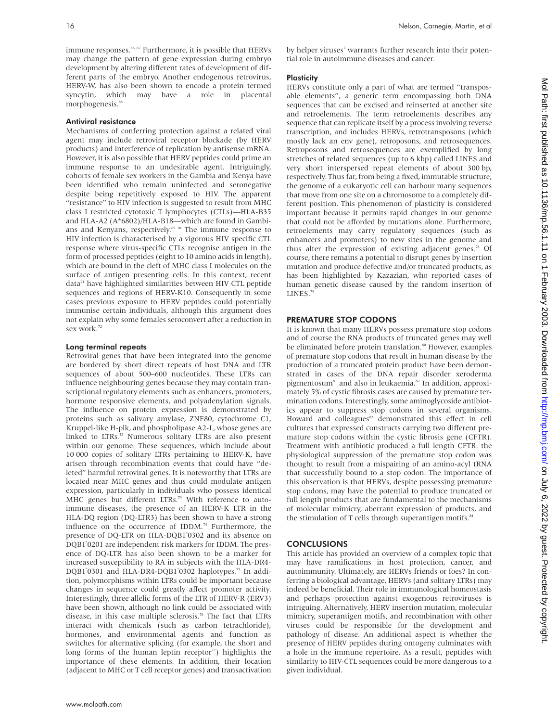immune responses.<sup>66 67</sup> Furthermore, it is possible that HERVs may change the pattern of gene expression during embryo development by altering different rates of development of different parts of the embryo. Another endogenous retrovirus, HERV-W, has also been shown to encode a protein termed syncytin, which may have a role in placental morphogenesis.<sup>68</sup>

#### Antiviral resistance

Mechanisms of conferring protection against a related viral agent may include retroviral receptor blockade (by HERV products) and interference of replication by antisense mRNA. However, it is also possible that HERV peptides could prime an immune response to an undesirable agent. Intriguingly, cohorts of female sex workers in the Gambia and Kenya have been identified who remain uninfected and seronegative despite being repetitively exposed to HIV. The apparent "resistance" to HIV infection is suggested to result from MHC class I restricted cytotoxic T lymphocytes (CTLs)—HLA-B35 and HLA-A2 (A\*6802)/HLA-B18—which are found in Gambians and Kenyans, respectively.<sup>69 70</sup> The immune response to HIV infection is characterised by a vigorous HIV specific CTL response where virus-specific CTLs recognise antigen in the form of processed peptides (eight to 10 amino acids in length), which are bound in the cleft of MHC class I molecules on the surface of antigen presenting cells. In this context, recent  $data<sup>71</sup>$  have highlighted similarities between HIV CTL peptide sequences and regions of HERV-K10. Consequently in some cases previous exposure to HERV peptides could potentially immunise certain individuals, although this argument does not explain why some females seroconvert after a reduction in sex work.<sup>72</sup>

#### Long terminal repeats

Retroviral genes that have been integrated into the genome are bordered by short direct repeats of host DNA and LTR sequences of about 500–600 nucleotides. These LTRs can influence neighbouring genes because they may contain transcriptional regulatory elements such as enhancers, promoters, hormone responsive elements, and polyadenylation signals. The influence on protein expression is demonstrated by proteins such as salivary amylase, ZNF80, cytochrome C1, Kruppel-like H-plk, and phospholipase A2-L, whose genes are linked to LTRs.<sup>32</sup> Numerous solitary LTRs are also present within our genome. These sequences, which include about 10 000 copies of solitary LTRs pertaining to HERV-K, have arisen through recombination events that could have "deleted" harmful retroviral genes. It is noteworthy that LTRs are located near MHC genes and thus could modulate antigen expression, particularly in individuals who possess identical MHC genes but different LTRs.<sup>73</sup> With reference to autoimmune diseases, the presence of an HERV-K LTR in the HLA-DQ region (DQ-LTR3) has been shown to have a strong influence on the occurrence of IDDM.<sup>74</sup> Furthermore, the presence of DQ-LTR on HLA-DQB1\* 0302 and its absence on DQB1\* 0201 are independent risk markers for IDDM. The presence of DQ-LTR has also been shown to be a marker for increased susceptibility to RA in subjects with the HLA-DR4- DQB1'0301 and HLA-DR4-DQB1'0302 haplotypes.<sup>75</sup> In addition, polymorphisms within LTRs could be important because changes in sequence could greatly affect promoter activity. Interestingly, three allelic forms of the LTR of HERV-R (ERV3) have been shown, although no link could be associated with disease, in this case multiple sclerosis.<sup>76</sup> The fact that LTRs interact with chemicals (such as carbon tetrachloride), hormones, and environmental agents and function as switches for alternative splicing (for example, the short and long forms of the human leptin receptor<sup>77</sup>) highlights the importance of these elements. In addition, their location (adjacent to MHC or T cell receptor genes) and transactivation

by helper viruses<sup>7</sup> warrants further research into their potential role in autoimmune diseases and cancer.

#### **Plasticity**

HERVs constitute only a part of what are termed "transposable elements", a generic term encompassing both DNA sequences that can be excised and reinserted at another site and retroelements. The term retroelements describes any sequence that can replicate itself by a process involving reverse transcription, and includes HERVs, retrotransposons (which mostly lack an env gene), retroposons, and retrosequences. Retroposons and retrosequences are exemplified by long stretches of related sequences (up to 6 kbp) called LINES and very short interspersed repeat elements of about 300 bp, respectively. Thus far, from being a fixed, immutable structure, the genome of a eukaryotic cell can harbour many sequences that move from one site on a chromosome to a completely different position. This phenomenon of plasticity is considered important because it permits rapid changes in our genome that could not be afforded by mutations alone. Furthermore, retroelements may carry regulatory sequences (such as enhancers and promoters) to new sites in the genome and thus alter the expression of existing adjacent genes.<sup>78</sup> Of course, there remains a potential to disrupt genes by insertion mutation and produce defective and/or truncated products, as has been highlighted by Kazazian, who reported cases of human genetic disease caused by the random insertion of LINES.<sup>7</sup>

#### PREMATURE STOP CODONS

It is known that many HERVs possess premature stop codons and of course the RNA products of truncated genes may well be eliminated before protein translation.<sup>80</sup> However, examples of premature stop codons that result in human disease by the production of a truncated protein product have been demonstrated in cases of the DNA repair disorder xeroderma pigmentosum<sup>81</sup> and also in leukaemia.<sup>82</sup> In addition, approximately 5% of cystic fibrosis cases are caused by premature termination codons. Interestingly, some aminoglycoside antibiotics appear to suppress stop codons in several organisms. Howard and colleagues<sup>83</sup> demonstrated this effect in cell cultures that expressed constructs carrying two different premature stop codons within the cystic fibrosis gene (CFTR). Treatment with antibiotic produced a full length CFTR: the physiological suppression of the premature stop codon was thought to result from a mispairing of an amino-acyl tRNA that successfully bound to a stop codon. The importance of this observation is that HERVs, despite possessing premature stop codons, may have the potential to produce truncated or full length products that are fundamental to the mechanisms of molecular mimicry, aberrant expression of products, and the stimulation of T cells through superantigen motifs. $84$ 

#### **CONCLUSIONS**

This article has provided an overview of a complex topic that may have ramifications in host protection, cancer, and autoimmunity. Ultimately, are HERVs friends or foes? In conferring a biological advantage, HERVs (and solitary LTRs) may indeed be beneficial. Their role in immunological homeostasis and perhaps protection against exogenous retroviruses is intriguing. Alternatively, HERV insertion mutation, molecular mimicry, superantigen motifs, and recombination with other viruses could be responsible for the development and pathology of disease. An additional aspect is whether the presence of HERV peptides during ontogeny culminates with a hole in the immune repertoire. As a result, peptides with similarity to HIV-CTL sequences could be more dangerous to a given individual.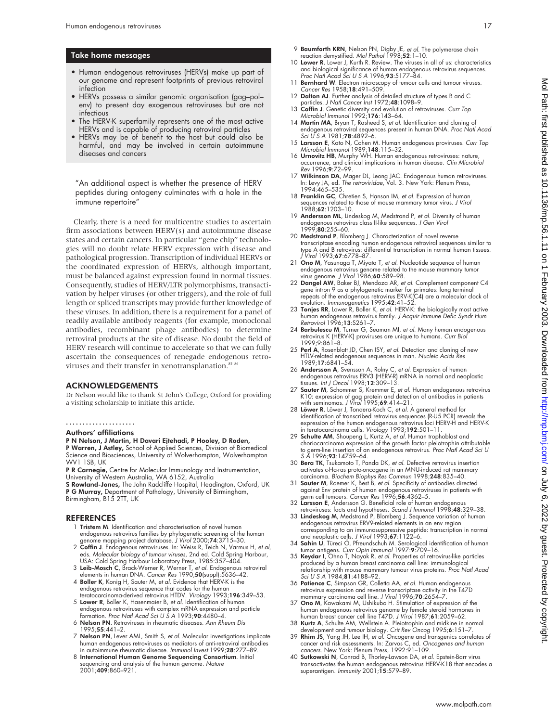#### Take home messages

- Human endogenous retroviruses (HERVs) make up part of our genome and represent footprints of previous retroviral infection
- HERVs possess a similar genomic organisation (gag–pol– env) to present day exogenous retroviruses but are not infectious
- The HERV-K superfamily represents one of the most active HERVs and is capable of producing retroviral particles
- HERVs may be of benefit to the host but could also be harmful, and may be involved in certain autoimmune diseases and cancers

"An additional aspect is whether the presence of HERV peptides during ontogeny culminates with a hole in the immune repertoire"

Clearly, there is a need for multicentre studies to ascertain firm associations between HERV(s) and autoimmune disease states and certain cancers. In particular "gene chip" technologies will no doubt relate HERV expression with disease and pathological progression. Transcription of individual HERVs or the coordinated expression of HERVs, although important, must be balanced against expression found in normal tissues. Consequently, studies of HERV/LTR polymorphisms, transactivation by helper viruses (or other triggers), and the role of full length or spliced transcripts may provide further knowledge of these viruses. In addition, there is a requirement for a panel of readily available antibody reagents (for example, monoclonal antibodies, recombinant phage antibodies) to determine retroviral products at the site of disease. No doubt the field of HERV research will continue to accelerate so that we can fully ascertain the consequences of renegade endogenous retroviruses and their transfer in xenotransplanation.<sup>85</sup> 86</sup>

#### ACKNOWLEDGEMENTS

Dr Nelson would like to thank St John's College, Oxford for providing a visiting scholarship to initiate this article.

# .....................

## Authors' affiliations

P N Nelson, J Martin, H Davari Ejtehadi, P Hooley, D Roden, P Warren, J Astley, School of Applied Sciences, Division of Biomedical Science and Biosciences, University of Wolverhampton, Wolverhampton WV1 1SB, UK

**P R Carnegie,** Centre for Molecular Immunology and Instrumentation,<br>University of Western Australia, WA 6152, Australia

S Rowland-Jones, The John Radcliffe Hospital, Headington, Oxford, UK **P G Murray,** Department of Pathology, University of Birmingham,<br>Birmingham, B15 2TT, UK

#### REFERENCES

- 1 Tristem M. Identification and characterisation of novel human endogenous retrovirus families by phylogenetic screening of the human<br>genome mapping project database. *J Virol* 2000;**74**:3715–30.<br>2 **Coffin J**. Endogenous retroviruses. In: Weiss R, Teich N, Varmus H, *et al,*
- eds. *Molecular biology of tumour viruses,* 2nd ed. Cold Spring Harbour,<br>USA: Cold Spring Harbour Laboratory Press, 1985:357–404.<br>**3 Leib-Mosch C**, Brack-Werner R, Werner T, *et al.* Endogenous retroviral
- elements in human DNA. Cancer Res 1990;50(suppl):5636–42.
- 4 Boller K, Konig H, Sauter M, et al. Evidence that HERV-K is the endogenous retrovirus sequence that codes for the human<br>teratocarcinoma-derived retrovirus HTDV. *Virology* 1993;**196**:349–53.
- 5 Lower R, Boller K, Hasenmaier B, et al. Identification of human endogenous retroviruses with complex mRNA expression and particle formation. Proc Natl Acad Sci U S A 1993;90:4480–4.
- 6 Nelson PN. Retroviruses in rheumatic diseases. Ann Rheum Dis 1995;55:441–2.
- 7 Nelson PN, Lever AML, Smith S, et al. Molecular investigations implicate human endogenous retroviruses as mediators of anti-retroviral antibodies in autoimmune rheumatic disease. Immunol Invest 1999;28:277–89.
- 8 International Human Genome Sequencing Consortium. Initial sequencing and analysis of the human genome. Nature 2001;409:860–921.
- 9 Baumforth KRN, Nelson PN, Digby JE, et al. The polymerase chain reaction demystified. Mol Pathol 1998;52:1–10.
- 10 Lower R, Lower J, Kurth R. Review. The viruses in all of us: characteristics and biological significance of human endogenous retrovirus sequences.<br>Proc Natl Acad Sci U S A 1996;**93**:5177–84.
- 11 Bernhard W. Electron microscopy of tumour cells and tumour viruses. Cancer Res 1958;18:491–509.
- 12 Dalton AJ. Further analysis of detailed structure of types B and C particles. J Natl Cancer Inst 1972;48:1098–9.
- 13 Coffin J. Genetic diversity and evolution of retroviruses. Curr Top Microbiol Immunol 1992;176:143–64.
- 14 Martin MA, Bryan T, Rasheed S, et al. Identification and cloning of endogenous retroviral sequences present in human DNA. *Proc Natl Acad*<br>*Sci U S A* 1981;**78**:4892–6.
- 15 Larsson E, Kato N, Cohen M. Human endogenous proviruses. Curr Top Microbiol Immunol 1989;148:115–32. 16 Urnovitz HB, Murphy WH. Human endogenous retroviruses: nature,
- occurrence, and clinical implications in human disease. Clin Microbiol<br>Rev 1996.9.72-99
- Rev 1996;9:72–99. 17 Wilkinson DA, Mager DL, Leong JAC. Endogenous human retroviruses. In: Levy JA, ed. The retroviridae, Vol. 3. New York: Plenum Press, 1994:465–535.
- 18 Franklin GC, Chretien S, Hanson IM, et al. Expression of human sequences related to those of mouse mammary tumor virus. J Virol 1988;62:1203–10.
- 19 Andersson ML, Lindeskog M, Medstrand P, et al. Diversity of human endogenous retrovirus class II-like sequences. *J Gen Virol*<br>1999;**80**:255–60.
- 20 Medstrand P, Blomberg J. Characterization of novel reverse transcriptase encoding human endogenous retroviral sequences similar to type A and B retrovirus: differential transcription in normal human tissues. Virol 1993;67:6778-87
- 21 Ono M, Yasunaga T, Miyata T, et al. Nucleotide sequence of human endogenous retrovirus genome related to the mouse mammary tumor virus genome. J Virol 1986;60:589–98.
- 22 Dangel AW, Baker BJ, Mendoza AR, et al. Complement component C4 gene intron 9 as a phylogenetic marker for primates: long terminal repeats of the endogenous retrovirus ERV-K(C4) are a molecular clock of evolution. Immunogenetics 1995;42:41–52.
- 23 Tonjes RR, Lower R, Boller K, et al. HERV-K: the biologically most active human endogenous retrovirus family. J Acquir Immune Defic Syndr Hum Retrovirol 1996;13:S261–7.
- 24 Barbulescu M, Turner G, Seaman MI, et al. Many human endogenous retrovirus K (HERV-K) proviruses are unique to humans. Curr Biol 1999;9:861–8.
- 25 Perl A, Rosenblatt JD, Chen ISY, et al. Detection and cloning of new HTLV-related endogenous sequences in man. Nucleic Acids Res 1989;17:6841–54.
- 26 Andersson A, Svensson A, Rolny C, et al. Expression of human endogenous retrovirus ERV3 (HERV-R) mRNA in normal and neoplastic tissues. Int J Oncol 1998;12:309–13.
- 27 Sauter M, Schommer S, Kremmer E, et al. Human endogenous retrovirus K10: expression of gag protein and detection of antibodies in patients<br>with seminomas. J Virol 1995;69:414–21.<br>28 Löwer R, Löwer J, Tondera-Koch C, et al. A general method for<br>identification of transcribed retrovirus sequ
- expression of the human endogenous retrovirus loci HERV-H and HERV-K in teratocarcinoma cells. Virology 1993;192:501–11.
- 29 Schulte AM, Shoupeng L, Kurtz A, et al. Human trophoblast and choriocarcinoma expression of the growth factor pleiotrophin attributable to germ-line insertion of an endogenous retrovirus. Proc Natl Acad Sci U S A 1996;93:14759–64.
- 30 Bera TK, Tsukamoto T, Panda DK, et al. Defective retrovirus insertion activates c-Ha-ras proto-oncogene in an MNU-induced rat mammary carcinoma. Biochem Biophys Res Commun 1998;248:835–40.
- 31 Sauter M, Roemer K, Best B, et al. Specificity of antibodies directed against Env protein of human endogenous retroviruses in patients with<br>germ cell tumours. *Cancer Res* 1996;**56**:4362–5.
- 32 Larsson E, Andersson G. Beneficial role of human endogenous retroviruses: facts and hypotheses. Scand J Immunol 1998;48:329-38.
- 33 Lindeskog M, Medstrand P, Blomberg J. Sequence variation of human endogenous retrovirus ERV9-related elements in an env region corresponding to an immunosuppressive peptide: transcription in normal and neoplastic cells. J Virol 1993;67:1122–6.
- 34 Sahin U, Türeci Ö, Pfreundschuh M. Serological identification of human tumor antigens. *Curr Opin Immunol* 1997:**9**:709–16.<br>35 **Keydar I,** Ohno T, Nayak R, *et al.* Properties of retrovirus-like particles
- produced by a human breast carcinoma cell line: immunological relationship with mouse mammary tumour virus proteins. Proc Natl Acad
- Sci U S A 1984;**81**:4188–92.<br>36 **Patience C**, Simpson GR, Colletta AA, *et al.* Human endogenous<br>retrovirus expression and reverse transcriptase activity in the T47D mammary carcinoma cell line. J Virol 1996;70:2654-7.
- 37 Ono M, Kawakami M, Ushikubo H. Stimulation of expression of the human endogenous retrovirus genome by female steroid hormones in human breast cancer cell line T47D. J Virol 1987;61:2059–62.
- 38 Kurtz A, Schulte AM, Wellstein A. Pleiotrophin and midkine in normal development and tumour biology. *Crit Rev Oncog* 1995;**6**:151–7.<br>39 **Rhim JS**, Yang JH, Lee IH, *et al*. Oncogene and transgenics correlates of
- cancer and risk assessments. In: Zarvos C, ed. Oncogenes and human<br>cancers. New York: Plenum Press, 1992:91–109.<br>40 **Sutkowski N**, Conrad B, Thorley-Lawson DA, *et al*. Epstein-Barr virus
- transactivates the human endogenous retrovirus HERV-K18 that encodes a superantigen. Immunity 2001;15:579-89.